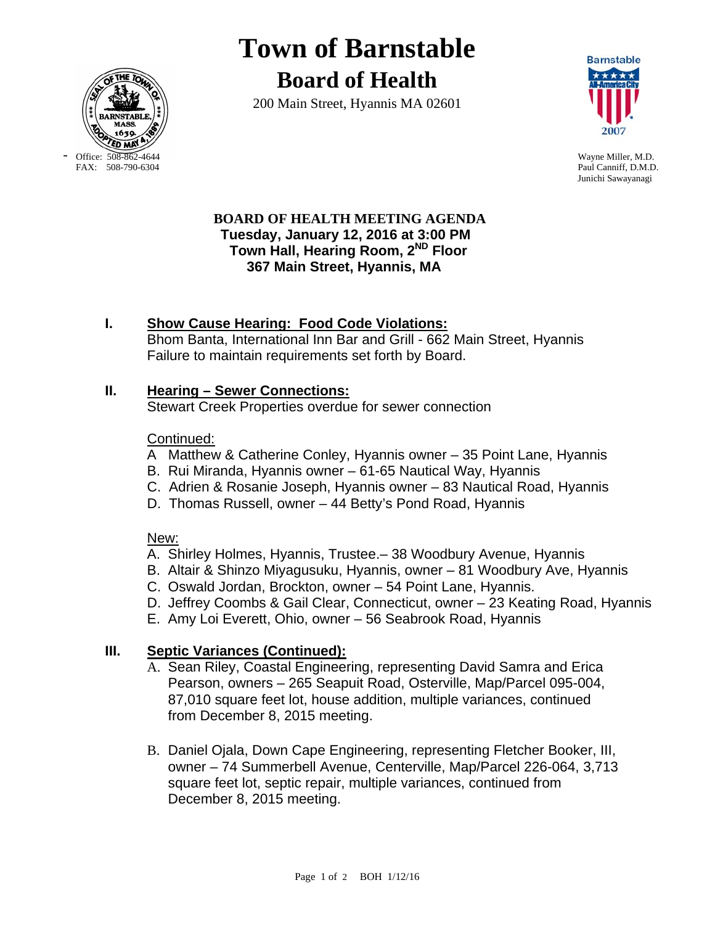

**Town of Barnstable Board of Health**

200 Main Street, Hyannis MA 02601



Paul Canniff, D.M.D. Junichi Sawayanagi

#### **BOARD OF HEALTH MEETING AGENDA Tuesday, January 12, 2016 at 3:00 PM Town Hall, Hearing Room, 2ND Floor 367 Main Street, Hyannis, MA**

# **I. Show Cause Hearing: Food Code Violations:**

Bhom Banta, International Inn Bar and Grill - 662 Main Street, Hyannis Failure to maintain requirements set forth by Board.

## **II. Hearing – Sewer Connections:**

Stewart Creek Properties overdue for sewer connection

## Continued:

- A Matthew & Catherine Conley, Hyannis owner 35 Point Lane, Hyannis
- B. Rui Miranda, Hyannis owner 61-65 Nautical Way, Hyannis
- C. Adrien & Rosanie Joseph, Hyannis owner 83 Nautical Road, Hyannis
- D. Thomas Russell, owner 44 Betty's Pond Road, Hyannis

## New:

- A. Shirley Holmes, Hyannis, Trustee.– 38 Woodbury Avenue, Hyannis
- B. Altair & Shinzo Miyagusuku, Hyannis, owner 81 Woodbury Ave, Hyannis
- C. Oswald Jordan, Brockton, owner 54 Point Lane, Hyannis.
- D. Jeffrey Coombs & Gail Clear, Connecticut, owner 23 Keating Road, Hyannis
- E. Amy Loi Everett, Ohio, owner 56 Seabrook Road, Hyannis

## **III. Septic Variances (Continued):**

- A. Sean Riley, Coastal Engineering, representing David Samra and Erica Pearson, owners – 265 Seapuit Road, Osterville, Map/Parcel 095-004, 87,010 square feet lot, house addition, multiple variances, continued from December 8, 2015 meeting.
- B. Daniel Ojala, Down Cape Engineering, representing Fletcher Booker, III, owner – 74 Summerbell Avenue, Centerville, Map/Parcel 226-064, 3,713 square feet lot, septic repair, multiple variances, continued from December 8, 2015 meeting.